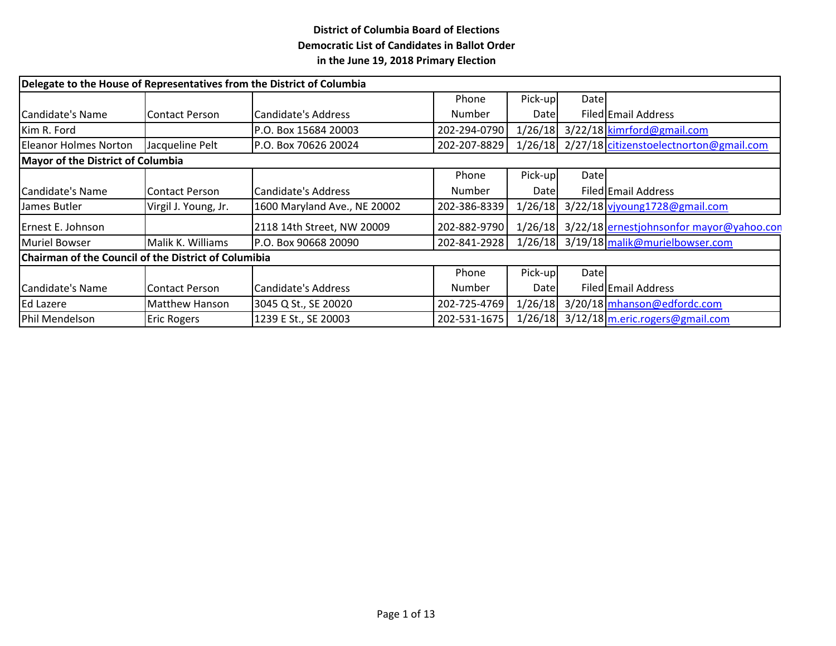| Delegate to the House of Representatives from the District of Columbia |                       |                              |               |         |       |                                                 |  |  |
|------------------------------------------------------------------------|-----------------------|------------------------------|---------------|---------|-------|-------------------------------------------------|--|--|
|                                                                        |                       |                              | Phone         | Pick-up | Datel |                                                 |  |  |
| Candidate's Name                                                       | <b>Contact Person</b> | Candidate's Address          | <b>Number</b> | Datel   |       | Filed Email Address                             |  |  |
| Kim R. Ford                                                            |                       | P.O. Box 15684 20003         | 202-294-0790  | 1/26/18 |       | 3/22/18 kimrford@gmail.com                      |  |  |
| Eleanor Holmes Norton                                                  | Jacqueline Pelt       | P.O. Box 70626 20024         | 202-207-8829  |         |       | 1/26/18 2/27/18 citizenstoelectnorton@gmail.com |  |  |
| Mayor of the District of Columbia                                      |                       |                              |               |         |       |                                                 |  |  |
|                                                                        |                       |                              | Phone         | Pick-up | Date  |                                                 |  |  |
| Candidate's Name                                                       | Contact Person        | Candidate's Address          | <b>Number</b> | Datel   |       | Filed Email Address                             |  |  |
| IJames Butler                                                          | Virgil J. Young, Jr.  | 1600 Maryland Ave., NE 20002 | 202-386-8339  | 1/26/18 |       | 3/22/18 vivoung 1728@gmail.com                  |  |  |
| Ernest E. Johnson                                                      |                       | 2118 14th Street, NW 20009   | 202-882-9790  | 1/26/18 |       | 3/22/18 ernestjohnsonfor mayor@yahoo.com        |  |  |
| Muriel Bowser                                                          | Malik K. Williams     | P.O. Box 90668 20090         | 202-841-2928  | 1/26/18 |       | 3/19/18 malik@murielbowser.com                  |  |  |
| Chairman of the Council of the District of Columibia                   |                       |                              |               |         |       |                                                 |  |  |
|                                                                        |                       |                              | Phone         | Pick-up | Date  |                                                 |  |  |
| Candidate's Name                                                       | <b>Contact Person</b> | Candidate's Address          | Number        | Datel   |       | Filed Email Address                             |  |  |
| Ed Lazere                                                              | Matthew Hanson        | 3045 Q St., SE 20020         | 202-725-4769  | 1/26/18 |       | 3/20/18 mhanson@edfordc.com                     |  |  |
| Phil Mendelson                                                         | <b>Eric Rogers</b>    | 1239 E St., SE 20003         | 202-531-1675  | 1/26/18 |       | 3/12/18 m.eric.rogers@gmail.com                 |  |  |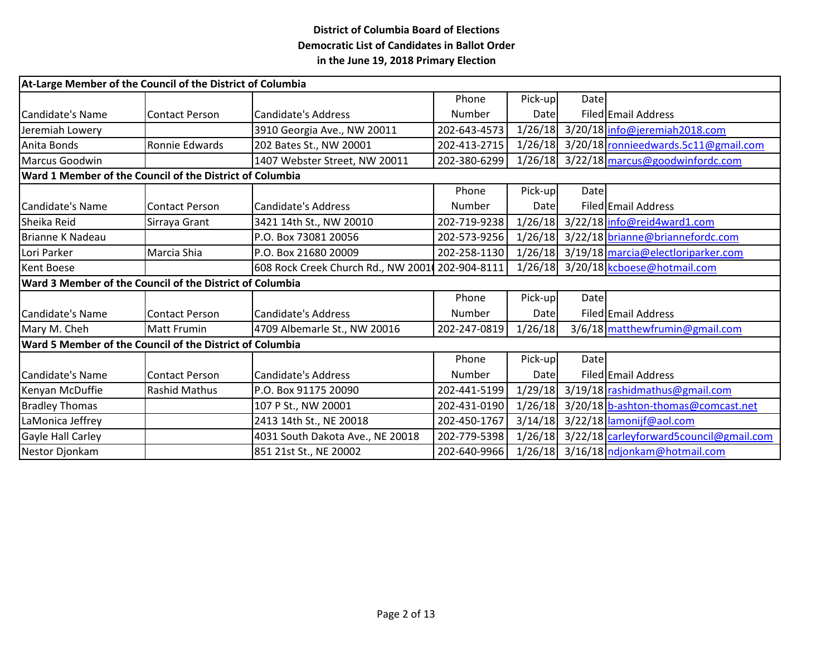|                                                          | At-Large Member of the Council of the District of Columbia |                                    |              |         |       |                                         |  |  |  |
|----------------------------------------------------------|------------------------------------------------------------|------------------------------------|--------------|---------|-------|-----------------------------------------|--|--|--|
|                                                          |                                                            |                                    | Phone        | Pick-up | Datel |                                         |  |  |  |
| Candidate's Name                                         | Contact Person                                             | Candidate's Address                | Number       | Datel   |       | Filed Email Address                     |  |  |  |
| Jeremiah Lowery                                          |                                                            | 3910 Georgia Ave., NW 20011        | 202-643-4573 | 1/26/18 |       | 3/20/18 info@jeremiah2018.com           |  |  |  |
| Anita Bonds                                              | Ronnie Edwards                                             | 202 Bates St., NW 20001            | 202-413-2715 | 1/26/18 |       | 3/20/18 ronnieedwards.5c11@gmail.com    |  |  |  |
| Marcus Goodwin                                           |                                                            | 1407 Webster Street, NW 20011      | 202-380-6299 |         |       | 1/26/18 3/22/18 marcus@goodwinfordc.com |  |  |  |
|                                                          | Ward 1 Member of the Council of the District of Columbia   |                                    |              |         |       |                                         |  |  |  |
|                                                          |                                                            |                                    | Phone        | Pick-up | Datel |                                         |  |  |  |
| <b>I</b> Candidate's Name                                | Contact Person                                             | Candidate's Address                | Number       | Date    |       | Filed Email Address                     |  |  |  |
| Sheika Reid                                              | Sirraya Grant                                              | 3421 14th St., NW 20010            | 202-719-9238 | 1/26/18 |       | 3/22/18 info@reid4ward1.com             |  |  |  |
| Brianne K Nadeau                                         |                                                            | P.O. Box 73081 20056               | 202-573-9256 | 1/26/18 |       | 3/22/18 brianne@briannefordc.com        |  |  |  |
| Lori Parker                                              | Marcia Shia                                                | P.O. Box 21680 20009               | 202-258-1130 | 1/26/18 |       | 3/19/18 marcia@electloriparker.com      |  |  |  |
| Kent Boese                                               |                                                            | 608 Rock Creek Church Rd., NW 2001 | 202-904-8111 | 1/26/18 |       | 3/20/18 kcboese@hotmail.com             |  |  |  |
| Ward 3 Member of the Council of the District of Columbia |                                                            |                                    |              |         |       |                                         |  |  |  |
|                                                          |                                                            |                                    | Phone        | Pick-up | Date  |                                         |  |  |  |
| <b>I</b> Candidate's Name                                | Contact Person                                             | Candidate's Address                | Number       | Datel   |       | Filed Email Address                     |  |  |  |
| Mary M. Cheh                                             | <b>Matt Frumin</b>                                         | 4709 Albemarle St., NW 20016       | 202-247-0819 | 1/26/18 |       | 3/6/18 matthewfrumin@gmail.com          |  |  |  |
| Ward 5 Member of the Council of the District of Columbia |                                                            |                                    |              |         |       |                                         |  |  |  |
|                                                          |                                                            |                                    | Phone        | Pick-up | Datel |                                         |  |  |  |
| Candidate's Name                                         | Contact Person                                             | Candidate's Address                | Number       | Datel   |       | Filed Email Address                     |  |  |  |
| Kenyan McDuffie                                          | <b>Rashid Mathus</b>                                       | P.O. Box 91175 20090               | 202-441-5199 | 1/29/18 |       | 3/19/18 rashidmathus@gmail.com          |  |  |  |
| <b>Bradley Thomas</b>                                    |                                                            | 107 P St., NW 20001                | 202-431-0190 | 1/26/18 |       | 3/20/18 b-ashton-thomas@comcast.net     |  |  |  |
| LaMonica Jeffrey                                         |                                                            | 2413 14th St., NE 20018            | 202-450-1767 | 3/14/18 |       | 3/22/18 lamonijf@aol.com                |  |  |  |
| Gayle Hall Carley                                        |                                                            | 4031 South Dakota Ave., NE 20018   | 202-779-5398 | 1/26/18 |       | 3/22/18 carleyforward5council@gmail.com |  |  |  |
| Nestor Djonkam                                           |                                                            | 851 21st St., NE 20002             | 202-640-9966 |         |       | 1/26/18 3/16/18 ndjonkam@hotmail.com    |  |  |  |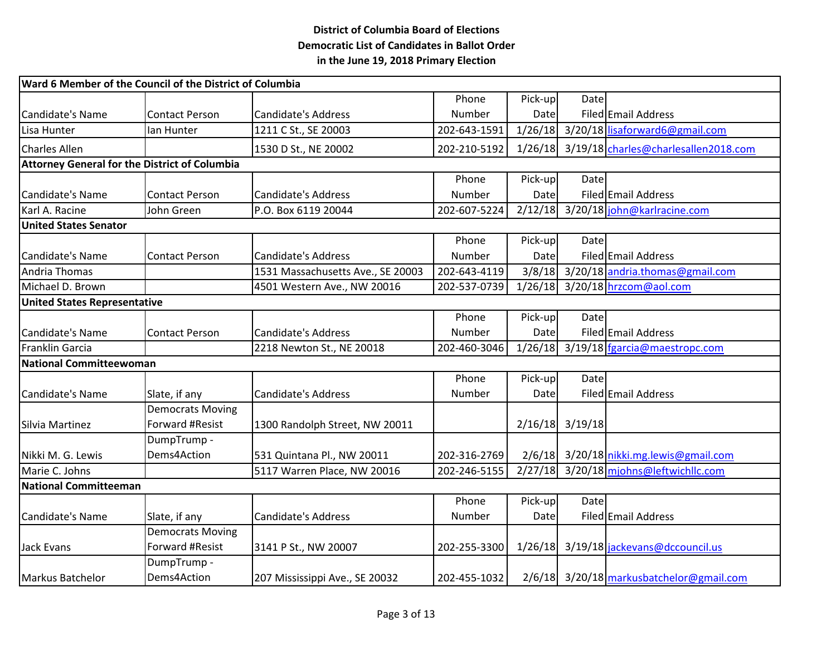| Ward 6 Member of the Council of the District of Columbia |                                     |                                   |              |         |                   |                                              |  |  |  |
|----------------------------------------------------------|-------------------------------------|-----------------------------------|--------------|---------|-------------------|----------------------------------------------|--|--|--|
|                                                          |                                     |                                   | Phone        | Pick-up | Date              |                                              |  |  |  |
| Candidate's Name                                         | <b>Contact Person</b>               | <b>Candidate's Address</b>        | Number       | Date    |                   | Filed Email Address                          |  |  |  |
| Lisa Hunter                                              | lan Hunter                          | 1211 C St., SE 20003              | 202-643-1591 | 1/26/18 |                   | 3/20/18 lisaforward6@gmail.com               |  |  |  |
| <b>Charles Allen</b>                                     |                                     | 1530 D St., NE 20002              | 202-210-5192 |         |                   | 1/26/18 3/19/18 charles@charlesallen2018.com |  |  |  |
| <b>Attorney General for the District of Columbia</b>     |                                     |                                   |              |         |                   |                                              |  |  |  |
|                                                          |                                     |                                   | Phone        | Pick-up | Date              |                                              |  |  |  |
| Candidate's Name                                         | <b>Contact Person</b>               | <b>Candidate's Address</b>        | Number       | Date    |                   | Filed Email Address                          |  |  |  |
| Karl A. Racine                                           | John Green                          | P.O. Box 6119 20044               | 202-607-5224 |         |                   | 2/12/18 3/20/18 john@karlracine.com          |  |  |  |
| <b>United States Senator</b>                             |                                     |                                   |              |         |                   |                                              |  |  |  |
|                                                          |                                     |                                   | Phone        | Pick-up | Datel             |                                              |  |  |  |
| Candidate's Name                                         | <b>Contact Person</b>               | <b>Candidate's Address</b>        | Number       | Date    |                   | Filed Email Address                          |  |  |  |
| <b>Andria Thomas</b>                                     |                                     | 1531 Massachusetts Ave., SE 20003 | 202-643-4119 |         |                   | 3/8/18 3/20/18 andria.thomas@gmail.com       |  |  |  |
| Michael D. Brown                                         |                                     | 4501 Western Ave., NW 20016       | 202-537-0739 |         |                   | 1/26/18 3/20/18 hrzcom@aol.com               |  |  |  |
|                                                          | <b>United States Representative</b> |                                   |              |         |                   |                                              |  |  |  |
|                                                          |                                     |                                   | Phone        | Pick-up | Date              |                                              |  |  |  |
| Candidate's Name                                         | <b>Contact Person</b>               | <b>Candidate's Address</b>        | Number       | Date    |                   | Filed Email Address                          |  |  |  |
| <b>Franklin Garcia</b>                                   |                                     | 2218 Newton St., NE 20018         | 202-460-3046 |         |                   | $1/26/18$ 3/19/18 fgarcia@maestropc.com      |  |  |  |
| National Committeewoman                                  |                                     |                                   |              |         |                   |                                              |  |  |  |
|                                                          |                                     |                                   | Phone        | Pick-up | <b>Date</b>       |                                              |  |  |  |
| Candidate's Name                                         | Slate, if any                       | <b>Candidate's Address</b>        | Number       | Date    |                   | Filed Email Address                          |  |  |  |
|                                                          | <b>Democrats Moving</b>             |                                   |              |         |                   |                                              |  |  |  |
| Silvia Martinez                                          | Forward #Resist                     | 1300 Randolph Street, NW 20011    |              |         | $2/16/18$ 3/19/18 |                                              |  |  |  |
|                                                          | DumpTrump-                          |                                   |              |         |                   |                                              |  |  |  |
| Nikki M. G. Lewis                                        | Dems4Action                         | 531 Quintana Pl., NW 20011        | 202-316-2769 |         |                   | 2/6/18 3/20/18 nikki.mg.lewis@gmail.com      |  |  |  |
| Marie C. Johns                                           |                                     | 5117 Warren Place, NW 20016       | 202-246-5155 | 2/27/18 |                   | 3/20/18 mjohns@leftwichllc.com               |  |  |  |
| <b>National Committeeman</b>                             |                                     |                                   |              |         |                   |                                              |  |  |  |
|                                                          |                                     |                                   | Phone        | Pick-up | Date              |                                              |  |  |  |
| Candidate's Name                                         | Slate, if any                       | <b>Candidate's Address</b>        | Number       | Date    |                   | Filed Email Address                          |  |  |  |
|                                                          | <b>Democrats Moving</b>             |                                   |              |         |                   |                                              |  |  |  |
| <b>Jack Evans</b>                                        | Forward #Resist                     | 3141 P St., NW 20007              | 202-255-3300 |         |                   | 1/26/18 3/19/18 jackevans@dccouncil.us       |  |  |  |
|                                                          | DumpTrump-                          |                                   |              |         |                   |                                              |  |  |  |
| Markus Batchelor                                         | Dems4Action                         | 207 Mississippi Ave., SE 20032    | 202-455-1032 |         |                   | 2/6/18 3/20/18 markusbatchelor@gmail.com     |  |  |  |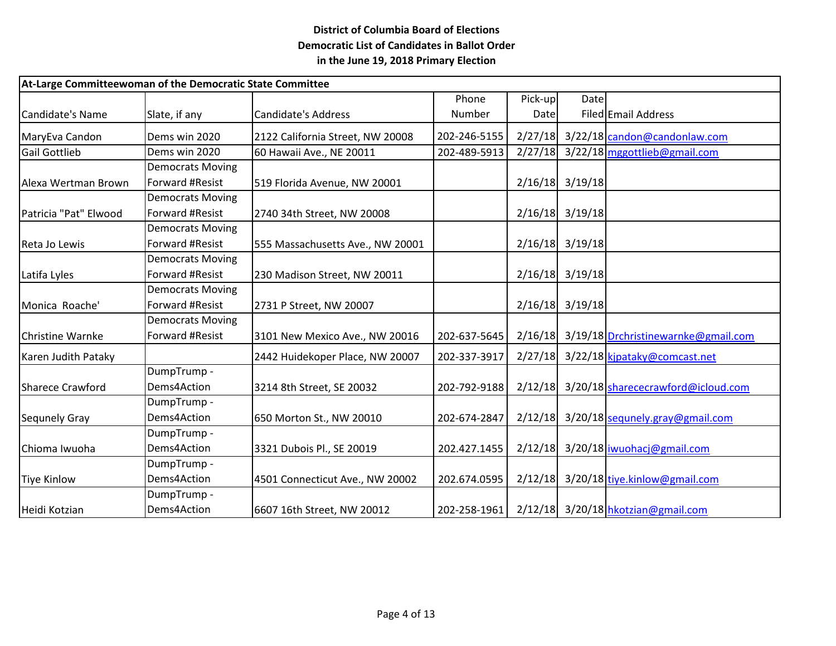| At-Large Committeewoman of the Democratic State Committee |                         |                                  |              |             |                   |                                             |  |
|-----------------------------------------------------------|-------------------------|----------------------------------|--------------|-------------|-------------------|---------------------------------------------|--|
|                                                           |                         |                                  | Phone        | Pick-up     | Date              |                                             |  |
| Candidate's Name                                          | Slate, if any           | Candidate's Address              | Number       | <b>Date</b> |                   | Filed Email Address                         |  |
| MaryEva Candon                                            | Dems win 2020           | 2122 California Street, NW 20008 | 202-246-5155 | 2/27/18     |                   | 3/22/18 candon@candonlaw.com                |  |
| Gail Gottlieb                                             | Dems win 2020           | 60 Hawaii Ave., NE 20011         | 202-489-5913 |             |                   | 2/27/18 3/22/18 mggottlieb@gmail.com        |  |
|                                                           | <b>Democrats Moving</b> |                                  |              |             |                   |                                             |  |
| Alexa Wertman Brown                                       | Forward #Resist         | 519 Florida Avenue, NW 20001     |              |             | $2/16/18$ 3/19/18 |                                             |  |
|                                                           | <b>Democrats Moving</b> |                                  |              |             |                   |                                             |  |
| Patricia "Pat" Elwood                                     | Forward #Resist         | 2740 34th Street, NW 20008       |              |             | $2/16/18$ 3/19/18 |                                             |  |
|                                                           | <b>Democrats Moving</b> |                                  |              |             |                   |                                             |  |
| Reta Jo Lewis                                             | Forward #Resist         | 555 Massachusetts Ave., NW 20001 |              |             | $2/16/18$ 3/19/18 |                                             |  |
|                                                           | <b>Democrats Moving</b> |                                  |              |             |                   |                                             |  |
| Latifa Lyles                                              | Forward #Resist         | 230 Madison Street, NW 20011     |              |             | $2/16/18$ 3/19/18 |                                             |  |
|                                                           | <b>Democrats Moving</b> |                                  |              |             |                   |                                             |  |
| Monica Roache'                                            | Forward #Resist         | 2731 P Street, NW 20007          |              |             | $2/16/18$ 3/19/18 |                                             |  |
|                                                           | <b>Democrats Moving</b> |                                  |              |             |                   |                                             |  |
| <b>Christine Warnke</b>                                   | Forward #Resist         | 3101 New Mexico Ave., NW 20016   | 202-637-5645 |             |                   | 2/16/18 3/19/18 Drchristinewarnke@gmail.com |  |
| Karen Judith Pataky                                       |                         | 2442 Huidekoper Place, NW 20007  | 202-337-3917 | 2/27/18     |                   | 3/22/18 kipataky@comcast.net                |  |
|                                                           | DumpTrump-              |                                  |              |             |                   |                                             |  |
| Sharece Crawford                                          | Dems4Action             | 3214 8th Street, SE 20032        | 202-792-9188 | 2/12/18     |                   | 3/20/18 sharececrawford@icloud.com          |  |
|                                                           | DumpTrump-              |                                  |              |             |                   |                                             |  |
| Sequnely Gray                                             | Dems4Action             | 650 Morton St., NW 20010         | 202-674-2847 |             |                   | $2/12/18$ 3/20/18 sequnely.gray@gmail.com   |  |
|                                                           | DumpTrump-              |                                  |              |             |                   |                                             |  |
| Chioma Iwuoha                                             | Dems4Action             | 3321 Dubois Pl., SE 20019        | 202.427.1455 |             |                   | $2/12/18$ 3/20/18 iwuohacj@gmail.com        |  |
|                                                           | DumpTrump-              |                                  |              |             |                   |                                             |  |
| Tiye Kinlow                                               | Dems4Action             | 4501 Connecticut Ave., NW 20002  | 202.674.0595 | 2/12/18     |                   | 3/20/18 tiye.kinlow@gmail.com               |  |
|                                                           | DumpTrump-              |                                  |              |             |                   |                                             |  |
| Heidi Kotzian                                             | Dems4Action             | 6607 16th Street, NW 20012       | 202-258-1961 |             |                   | 2/12/18 3/20/18 hkotzian@gmail.com          |  |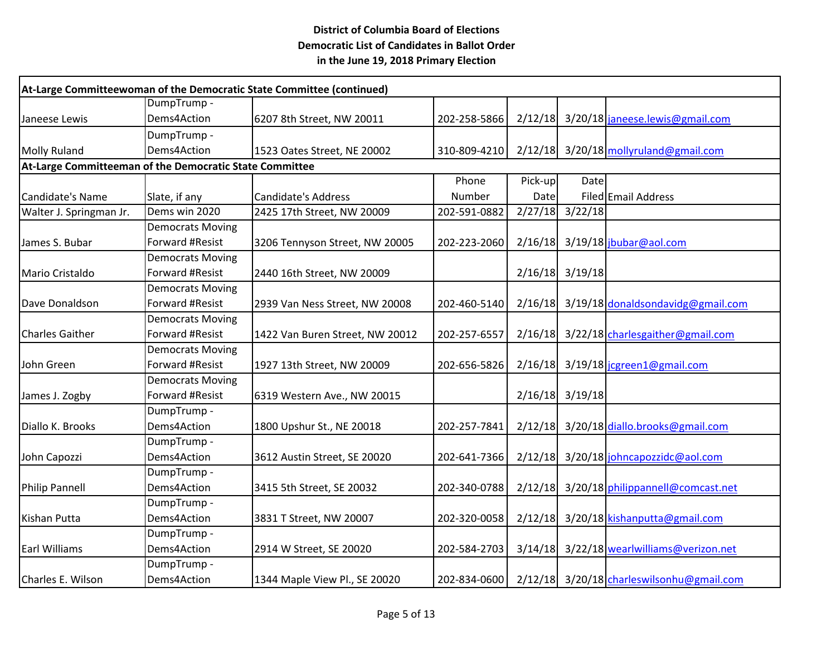|                         |                                                         | At-Large Committeewoman of the Democratic State Committee (continued) |              |             |                   |                                           |  |  |  |  |
|-------------------------|---------------------------------------------------------|-----------------------------------------------------------------------|--------------|-------------|-------------------|-------------------------------------------|--|--|--|--|
|                         | DumpTrump-                                              |                                                                       |              |             |                   |                                           |  |  |  |  |
| Janeese Lewis           | Dems4Action                                             | 6207 8th Street, NW 20011                                             | 202-258-5866 | 2/12/18     |                   | 3/20/18 janeese.lewis@gmail.com           |  |  |  |  |
|                         | DumpTrump-                                              |                                                                       |              |             |                   |                                           |  |  |  |  |
| Molly Ruland            | Dems4Action                                             | 1523 Oates Street, NE 20002                                           | 310-809-4210 |             |                   | $2/12/18$ 3/20/18 mollyruland@gmail.com   |  |  |  |  |
|                         | At-Large Committeeman of the Democratic State Committee |                                                                       |              |             |                   |                                           |  |  |  |  |
|                         |                                                         |                                                                       | Phone        | Pick-up     | Date              |                                           |  |  |  |  |
| Candidate's Name        | Slate, if any                                           | Candidate's Address                                                   | Number       | <b>Date</b> |                   | Filed Email Address                       |  |  |  |  |
| Walter J. Springman Jr. | Dems win 2020                                           | 2425 17th Street, NW 20009                                            | 202-591-0882 | 2/27/18     | 3/22/18           |                                           |  |  |  |  |
|                         | <b>Democrats Moving</b>                                 |                                                                       |              |             |                   |                                           |  |  |  |  |
| James S. Bubar          | Forward #Resist                                         | 3206 Tennyson Street, NW 20005                                        | 202-223-2060 | 2/16/18     |                   | 3/19/18 jbubar@aol.com                    |  |  |  |  |
|                         | <b>Democrats Moving</b>                                 |                                                                       |              |             |                   |                                           |  |  |  |  |
| Mario Cristaldo         | Forward #Resist                                         | 2440 16th Street, NW 20009                                            |              |             | $2/16/18$ 3/19/18 |                                           |  |  |  |  |
|                         | <b>Democrats Moving</b>                                 |                                                                       |              |             |                   |                                           |  |  |  |  |
| Dave Donaldson          | Forward #Resist                                         | 2939 Van Ness Street, NW 20008                                        | 202-460-5140 | 2/16/18     |                   | 3/19/18 donaldsondavidg@gmail.com         |  |  |  |  |
|                         | <b>Democrats Moving</b>                                 |                                                                       |              |             |                   |                                           |  |  |  |  |
| <b>Charles Gaither</b>  | Forward #Resist                                         | 1422 Van Buren Street, NW 20012                                       | 202-257-6557 | 2/16/18     |                   | 3/22/18 charlesgaither@gmail.com          |  |  |  |  |
|                         | <b>Democrats Moving</b>                                 |                                                                       |              |             |                   |                                           |  |  |  |  |
| John Green              | Forward #Resist                                         | 1927 13th Street, NW 20009                                            | 202-656-5826 | 2/16/18     |                   | 3/19/18 jcgreen1@gmail.com                |  |  |  |  |
|                         | <b>Democrats Moving</b>                                 |                                                                       |              |             |                   |                                           |  |  |  |  |
| James J. Zogby          | Forward #Resist                                         | 6319 Western Ave., NW 20015                                           |              | 2/16/18     | 3/19/18           |                                           |  |  |  |  |
|                         | DumpTrump -                                             |                                                                       |              |             |                   |                                           |  |  |  |  |
| Diallo K. Brooks        | Dems4Action                                             | 1800 Upshur St., NE 20018                                             | 202-257-7841 | 2/12/18     |                   | 3/20/18 diallo.brooks@gmail.com           |  |  |  |  |
|                         | DumpTrump-                                              |                                                                       |              |             |                   |                                           |  |  |  |  |
| John Capozzi            | Dems4Action                                             | 3612 Austin Street, SE 20020                                          | 202-641-7366 | 2/12/18     |                   | 3/20/18 johncapozzidc@aol.com             |  |  |  |  |
|                         | DumpTrump -                                             |                                                                       |              |             |                   |                                           |  |  |  |  |
| Philip Pannell          | Dems4Action                                             | 3415 5th Street, SE 20032                                             | 202-340-0788 | 2/12/18     |                   | 3/20/18 philippannell@comcast.net         |  |  |  |  |
|                         | DumpTrump -                                             |                                                                       |              |             |                   |                                           |  |  |  |  |
| Kishan Putta            | Dems4Action                                             | 3831 T Street, NW 20007                                               | 202-320-0058 | 2/12/18     |                   | 3/20/18 kishanputta@gmail.com             |  |  |  |  |
|                         | DumpTrump-                                              |                                                                       |              |             |                   |                                           |  |  |  |  |
| <b>Earl Williams</b>    | Dems4Action                                             | 2914 W Street, SE 20020                                               | 202-584-2703 | 3/14/18     |                   | 3/22/18 wearlwilliams@verizon.net         |  |  |  |  |
|                         | DumpTrump-                                              |                                                                       |              |             |                   |                                           |  |  |  |  |
| Charles E. Wilson       | Dems4Action                                             | 1344 Maple View Pl., SE 20020                                         | 202-834-0600 |             |                   | 2/12/18 3/20/18 charleswilsonhu@gmail.com |  |  |  |  |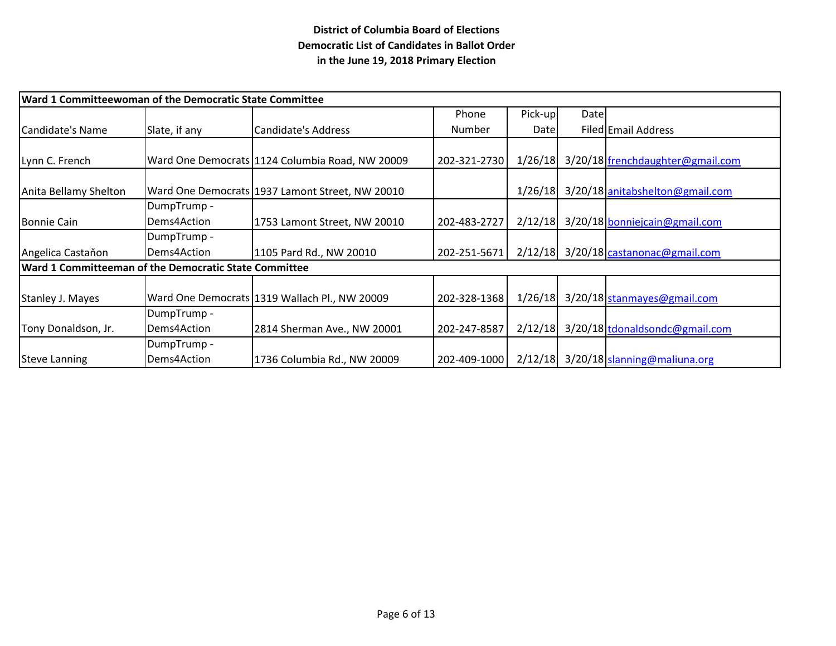| Ward 1 Committeewoman of the Democratic State Committee |               |                                                 |              |         |      |                                      |  |
|---------------------------------------------------------|---------------|-------------------------------------------------|--------------|---------|------|--------------------------------------|--|
|                                                         |               |                                                 | Phone        | Pick-up | Date |                                      |  |
| Candidate's Name                                        | Slate, if any | Candidate's Address                             | Number       | Datel   |      | Filed Email Address                  |  |
|                                                         |               |                                                 |              |         |      |                                      |  |
| Lynn C. French                                          |               | Ward One Democrats 1124 Columbia Road, NW 20009 | 202-321-2730 | 1/26/18 |      | 3/20/18 frenchdaughter@gmail.com     |  |
|                                                         |               |                                                 |              |         |      |                                      |  |
| Anita Bellamy Shelton                                   |               | Ward One Democrats 1937 Lamont Street, NW 20010 |              | 1/26/18 |      | 3/20/18 anitabshelton@gmail.com      |  |
|                                                         | DumpTrump -   |                                                 |              |         |      |                                      |  |
| Bonnie Cain                                             | Dems4Action   | 1753 Lamont Street, NW 20010                    | 202-483-2727 | 2/12/18 |      | 3/20/18 bonniejcain@gmail.com        |  |
|                                                         | DumpTrump -   |                                                 |              |         |      |                                      |  |
| Angelica Castañon                                       | Dems4Action   | 1105 Pard Rd., NW 20010                         | 202-251-5671 |         |      | 2/12/18 3/20/18 castanonac@gmail.com |  |
| Ward 1 Committeeman of the Democratic State Committee   |               |                                                 |              |         |      |                                      |  |
|                                                         |               |                                                 |              |         |      |                                      |  |
| Stanley J. Mayes                                        |               | Ward One Democrats 1319 Wallach Pl., NW 20009   | 202-328-1368 | 1/26/18 |      | 3/20/18 stanmayes@gmail.com          |  |
|                                                         | DumpTrump -   |                                                 |              |         |      |                                      |  |
| Tony Donaldson, Jr.                                     | Dems4Action   | 2814 Sherman Ave., NW 20001                     | 202-247-8587 | 2/12/18 |      | 3/20/18 tdonaldsondc@gmail.com       |  |
|                                                         | DumpTrump -   |                                                 |              |         |      |                                      |  |
| <b>Steve Lanning</b>                                    | Dems4Action   | 1736 Columbia Rd., NW 20009                     | 202-409-1000 |         |      | 2/12/18 3/20/18 slanning@maliuna.org |  |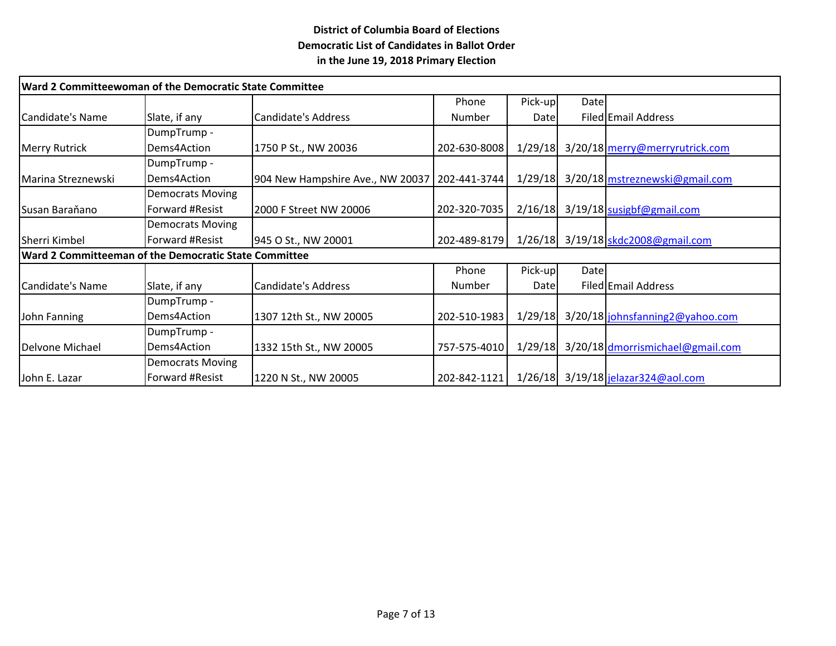| Ward 2 Committeewoman of the Democratic State Committee |                         |                                  |               |             |             |                                        |  |  |
|---------------------------------------------------------|-------------------------|----------------------------------|---------------|-------------|-------------|----------------------------------------|--|--|
|                                                         |                         |                                  | Phone         | Pick-up     | <b>Date</b> |                                        |  |  |
| Candidate's Name                                        | Slate, if any           | Candidate's Address              | Number        | Datel       |             | Filed Email Address                    |  |  |
|                                                         | DumpTrump -             |                                  |               |             |             |                                        |  |  |
| <b>Merry Rutrick</b>                                    | Dems4Action             | 1750 P St., NW 20036             | 202-630-8008  | 1/29/18     |             | 3/20/18 merry@merryrutrick.com         |  |  |
|                                                         | DumpTrump -             |                                  |               |             |             |                                        |  |  |
| Marina Streznewski                                      | Dems4Action             | 904 New Hampshire Ave., NW 20037 | 202-441-3744  |             |             | 1/29/18 3/20/18 mstreznewski@gmail.com |  |  |
|                                                         | <b>Democrats Moving</b> |                                  |               |             |             |                                        |  |  |
| Susan Baraňano                                          | Forward #Resist         | 2000 F Street NW 20006           | 202-320-7035  | 2/16/18     |             | 3/19/18 susigbf@gmail.com              |  |  |
|                                                         | <b>Democrats Moving</b> |                                  |               |             |             |                                        |  |  |
| <b>Sherri Kimbel</b>                                    | Forward #Resist         | 945 O St., NW 20001              | 202-489-8179  |             |             | 1/26/18 3/19/18 skdc2008@gmail.com     |  |  |
| Ward 2 Committeeman of the Democratic State Committee   |                         |                                  |               |             |             |                                        |  |  |
|                                                         |                         |                                  | Phone         | Pick-up     | <b>Date</b> |                                        |  |  |
| Candidate's Name                                        | Slate, if any           | Candidate's Address              | <b>Number</b> | <b>Date</b> |             | Filed Email Address                    |  |  |
|                                                         | DumpTrump -             |                                  |               |             |             |                                        |  |  |
| John Fanning                                            | Dems4Action             | 1307 12th St., NW 20005          | 202-510-1983  | 1/29/18     |             | 3/20/18 johnsfanning 2@yahoo.com       |  |  |
|                                                         | DumpTrump -             |                                  |               |             |             |                                        |  |  |
| Delvone Michael                                         | Dems4Action             | 1332 15th St., NW 20005          | 757-575-4010  | 1/29/18     |             | 3/20/18 dmorrismichael@gmail.com       |  |  |
|                                                         | <b>Democrats Moving</b> |                                  |               |             |             |                                        |  |  |
| John E. Lazar                                           | Forward #Resist         | 1220 N St., NW 20005             | 202-842-1121  |             |             | 1/26/18 3/19/18 jelazar324@aol.com     |  |  |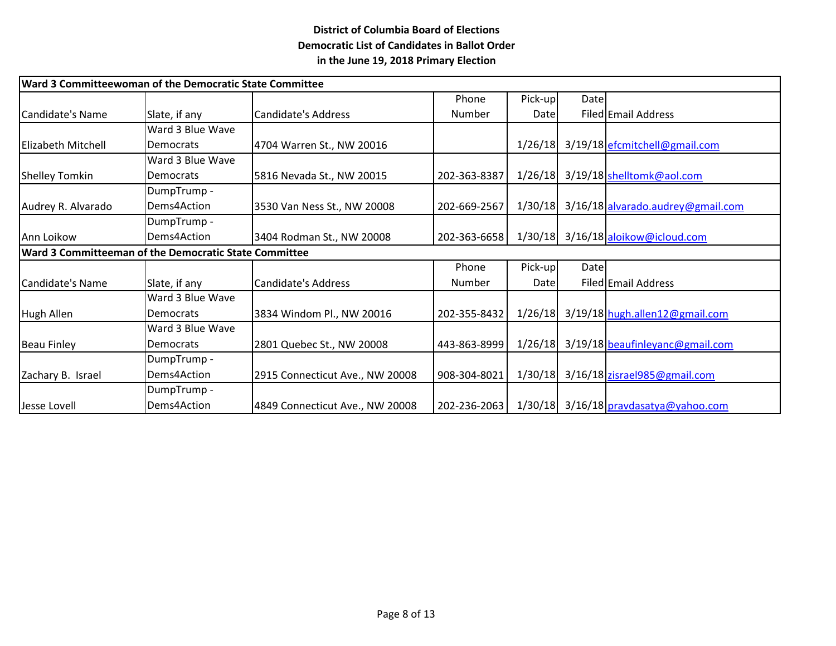|                           | Ward 3 Committeewoman of the Democratic State Committee |                                 |              |         |      |                                         |  |
|---------------------------|---------------------------------------------------------|---------------------------------|--------------|---------|------|-----------------------------------------|--|
|                           |                                                         |                                 | Phone        | Pick-up | Date |                                         |  |
| Candidate's Name          | Slate, if any                                           | Candidate's Address             | Number       | Date    |      | Filed Email Address                     |  |
|                           | Ward 3 Blue Wave                                        |                                 |              |         |      |                                         |  |
| <b>Elizabeth Mitchell</b> | <b>Democrats</b>                                        | 4704 Warren St., NW 20016       |              | 1/26/18 |      | 3/19/18 efcmitchell@gmail.com           |  |
|                           | Ward 3 Blue Wave                                        |                                 |              |         |      |                                         |  |
| Shelley Tomkin            | <b>Democrats</b>                                        | 5816 Nevada St., NW 20015       | 202-363-8387 | 1/26/18 |      | 3/19/18 shelltomk@aol.com               |  |
|                           | DumpTrump -                                             |                                 |              |         |      |                                         |  |
| Audrey R. Alvarado        | Dems4Action                                             | 3530 Van Ness St., NW 20008     | 202-669-2567 | 1/30/18 |      | 3/16/18 alvarado.audrey@gmail.com       |  |
|                           | DumpTrump -                                             |                                 |              |         |      |                                         |  |
| Ann Loikow                | Dems4Action                                             | 3404 Rodman St., NW 20008       | 202-363-6658 | 1/30/18 |      | 3/16/18 aloikow@icloud.com              |  |
|                           | Ward 3 Committeeman of the Democratic State Committee   |                                 |              |         |      |                                         |  |
|                           |                                                         |                                 | Phone        | Pick-up | Date |                                         |  |
| Candidate's Name          | Slate, if any                                           | Candidate's Address             | Number       | Date    |      | Filed Email Address                     |  |
|                           | Ward 3 Blue Wave                                        |                                 |              |         |      |                                         |  |
| Hugh Allen                | <b>Democrats</b>                                        | 3834 Windom Pl., NW 20016       | 202-355-8432 | 1/26/18 |      | 3/19/18 hugh.allen12@gmail.com          |  |
|                           | Ward 3 Blue Wave                                        |                                 |              |         |      |                                         |  |
| Beau Finley               | <b>Democrats</b>                                        | 2801 Quebec St., NW 20008       | 443-863-8999 | 1/26/18 |      | 3/19/18 beaufinleyanc@gmail.com         |  |
|                           | DumpTrump -                                             |                                 |              |         |      |                                         |  |
| Zachary B. Israel         | Dems4Action                                             | 2915 Connecticut Ave., NW 20008 | 908-304-8021 | 1/30/18 |      | 3/16/18 zisrael985@gmail.com            |  |
|                           | DumpTrump -                                             |                                 |              |         |      |                                         |  |
| Jesse Lovell              | Dems4Action                                             | 4849 Connecticut Ave., NW 20008 | 202-236-2063 |         |      | $1/30/18$ 3/16/18 pravdasatya@yahoo.com |  |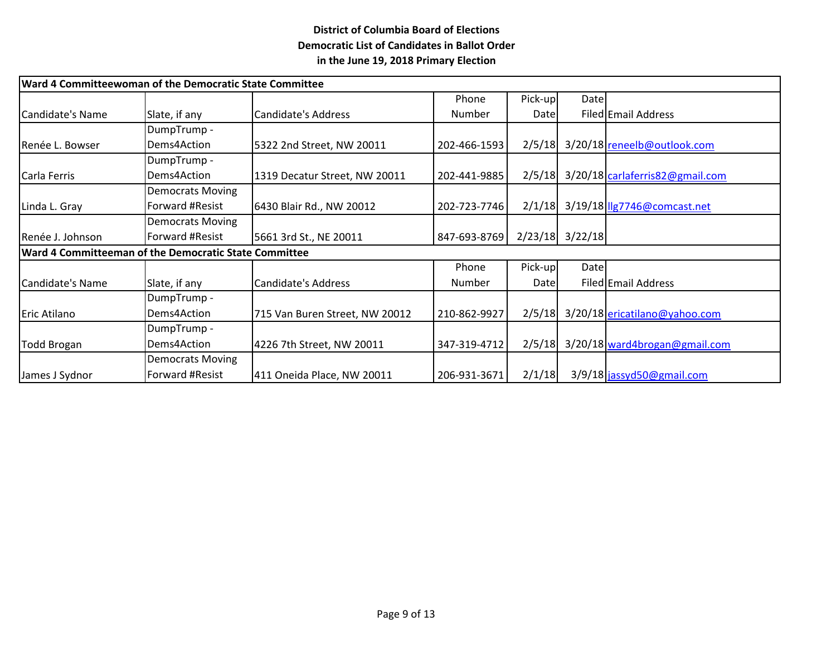|                  | Ward 4 Committeewoman of the Democratic State Committee |                                |              |         |                     |                                      |
|------------------|---------------------------------------------------------|--------------------------------|--------------|---------|---------------------|--------------------------------------|
|                  |                                                         |                                | Phone        | Pick-up | Date                |                                      |
| Candidate's Name | Slate, if any                                           | Candidate's Address            | Number       | Datel   |                     | Filed Email Address                  |
|                  | DumpTrump -                                             |                                |              |         |                     |                                      |
| Renée L. Bowser  | Dems4Action                                             | 5322 2nd Street, NW 20011      | 202-466-1593 |         |                     | 2/5/18 3/20/18 reneelb@outlook.com   |
|                  | DumpTrump -                                             |                                |              |         |                     |                                      |
| Carla Ferris     | Dems4Action                                             | 1319 Decatur Street, NW 20011  | 202-441-9885 | 2/5/18  |                     | 3/20/18 carlaferris82@gmail.com      |
|                  | <b>Democrats Moving</b>                                 |                                |              |         |                     |                                      |
| Linda L. Gray    | Forward #Resist                                         | 6430 Blair Rd., NW 20012       | 202-723-7746 | 2/1/18  |                     | 3/19/18   1g7746@comcast.net         |
|                  | <b>Democrats Moving</b>                                 |                                |              |         |                     |                                      |
| Renée J. Johnson | Forward #Resist                                         | 5661 3rd St., NE 20011         | 847-693-8769 |         | $2/23/18$ $3/22/18$ |                                      |
|                  | Ward 4 Committeeman of the Democratic State Committee   |                                |              |         |                     |                                      |
|                  |                                                         |                                | Phone        | Pick-up | Date                |                                      |
| Candidate's Name | Slate, if any                                           | Candidate's Address            | Number       | Datel   |                     | Filed Email Address                  |
|                  | DumpTrump -                                             |                                |              |         |                     |                                      |
| Eric Atilano     | Dems4Action                                             | 715 Van Buren Street, NW 20012 | 210-862-9927 |         |                     | 2/5/18 3/20/18 ericatilano@yahoo.com |
|                  | DumpTrump -                                             |                                |              |         |                     |                                      |
| Todd Brogan      | Dems4Action                                             | 4226 7th Street, NW 20011      | 347-319-4712 | 2/5/18  |                     | 3/20/18 ward4brogan@gmail.com        |
|                  | <b>Democrats Moving</b>                                 |                                |              |         |                     |                                      |
| James J Sydnor   | Forward #Resist                                         | 411 Oneida Place, NW 20011     | 206-931-3671 | 2/1/18  |                     | 3/9/18 jassyd50@gmail.com            |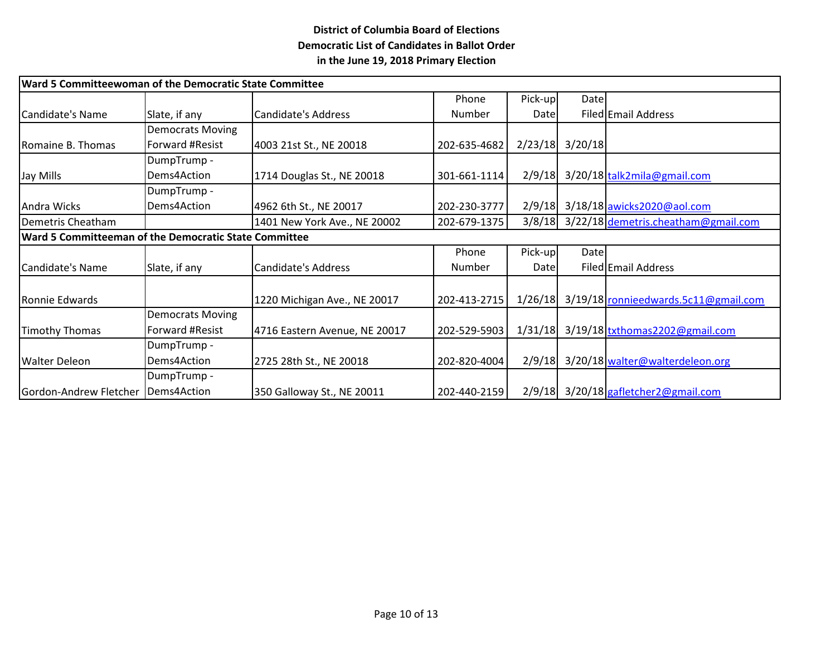|                                                       | Ward 5 Committeewoman of the Democratic State Committee |                               |              |         |             |                                       |  |  |
|-------------------------------------------------------|---------------------------------------------------------|-------------------------------|--------------|---------|-------------|---------------------------------------|--|--|
|                                                       |                                                         |                               | Phone        | Pick-up | <b>Date</b> |                                       |  |  |
| Candidate's Name                                      | Slate, if any                                           | <b>Candidate's Address</b>    | Number       | Date    |             | Filed Email Address                   |  |  |
|                                                       | <b>Democrats Moving</b>                                 |                               |              |         |             |                                       |  |  |
| Romaine B. Thomas                                     | Forward #Resist                                         | 4003 21st St., NE 20018       | 202-635-4682 | 2/23/18 | 3/20/18     |                                       |  |  |
|                                                       | DumpTrump -                                             |                               |              |         |             |                                       |  |  |
| Jay Mills                                             | Dems4Action                                             | 1714 Douglas St., NE 20018    | 301-661-1114 | 2/9/18  |             | 3/20/18 talk2mila@gmail.com           |  |  |
|                                                       | DumpTrump -                                             |                               |              |         |             |                                       |  |  |
| Andra Wicks                                           | Dems4Action                                             | 4962 6th St., NE 20017        | 202-230-3777 | 2/9/18  |             | 3/18/18 awicks2020@aol.com            |  |  |
| Demetris Cheatham                                     |                                                         | 1401 New York Ave., NE 20002  | 202-679-1375 | 3/8/18  |             | 3/22/18 demetris.cheatham@gmail.com   |  |  |
| Ward 5 Committeeman of the Democratic State Committee |                                                         |                               |              |         |             |                                       |  |  |
|                                                       |                                                         |                               | Phone        | Pick-up | <b>Date</b> |                                       |  |  |
| Candidate's Name                                      | Slate, if any                                           | <b>Candidate's Address</b>    | Number       | Date    |             | Filed Email Address                   |  |  |
|                                                       |                                                         |                               |              |         |             |                                       |  |  |
| Ronnie Edwards                                        |                                                         | 1220 Michigan Ave., NE 20017  | 202-413-2715 | 1/26/18 |             | 3/19/18 ronnieedwards.5c11@gmail.com  |  |  |
|                                                       | <b>Democrats Moving</b>                                 |                               |              |         |             |                                       |  |  |
| Timothy Thomas                                        | Forward #Resist                                         | 4716 Eastern Avenue, NE 20017 | 202-529-5903 | 1/31/18 |             | 3/19/18 txthomas2202@gmail.com        |  |  |
|                                                       | DumpTrump -                                             |                               |              |         |             |                                       |  |  |
| Walter Deleon                                         | Dems4Action                                             | 2725 28th St., NE 20018       | 202-820-4004 | 2/9/18  |             | 3/20/18 walter@walterdeleon.org       |  |  |
|                                                       | DumpTrump -                                             |                               |              |         |             |                                       |  |  |
| Gordon-Andrew Fletcher   Dems4Action                  |                                                         | 350 Galloway St., NE 20011    | 202-440-2159 |         |             | 2/9/18 3/20/18 gafletcher 2@gmail.com |  |  |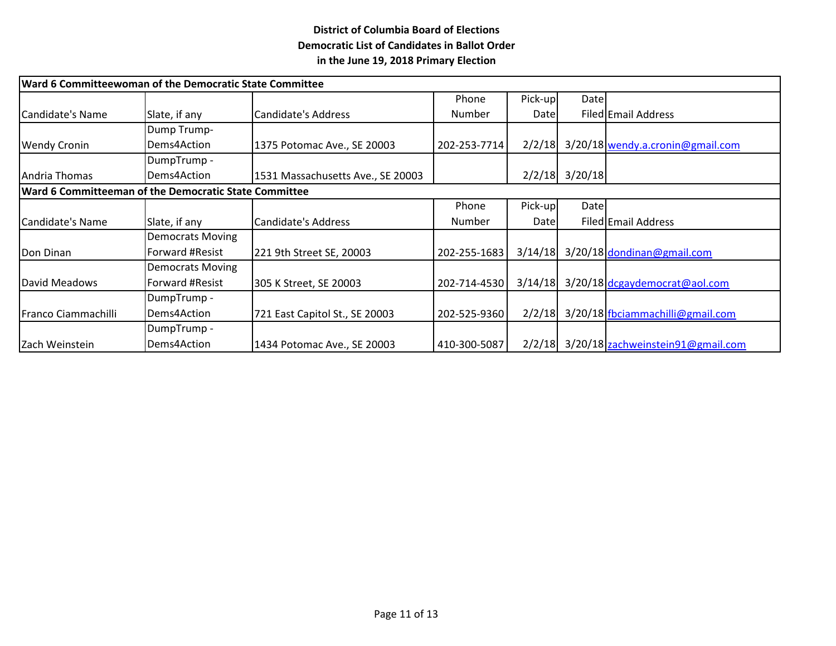| Ward 6 Committeewoman of the Democratic State Committee |                         |                                   |              |         |                  |                                          |  |  |
|---------------------------------------------------------|-------------------------|-----------------------------------|--------------|---------|------------------|------------------------------------------|--|--|
|                                                         |                         |                                   | Phone        | Pick-up | Datel            |                                          |  |  |
| Candidate's Name                                        | Slate, if any           | Candidate's Address               | Number       | Date    |                  | Filed Email Address                      |  |  |
|                                                         | Dump Trump-             |                                   |              |         |                  |                                          |  |  |
| <b>Wendy Cronin</b>                                     | Dems4Action             | 1375 Potomac Ave., SE 20003       | 202-253-7714 | 2/2/18  |                  | 3/20/18 wendy.a.cronin@gmail.com         |  |  |
|                                                         | DumpTrump -             |                                   |              |         |                  |                                          |  |  |
| Andria Thomas                                           | Dems4Action             | 1531 Massachusetts Ave., SE 20003 |              |         | $2/2/18$ 3/20/18 |                                          |  |  |
| Ward 6 Committeeman of the Democratic State Committee   |                         |                                   |              |         |                  |                                          |  |  |
|                                                         |                         |                                   | Phone        | Pick-up | <b>Date</b>      |                                          |  |  |
| Candidate's Name                                        | Slate, if any           | Candidate's Address               | Number       | Datel   |                  | Filed Email Address                      |  |  |
|                                                         | <b>Democrats Moving</b> |                                   |              |         |                  |                                          |  |  |
| Don Dinan                                               | Forward #Resist         | 221 9th Street SE, 20003          | 202-255-1683 | 3/14/18 |                  | 3/20/18 dondinan@gmail.com               |  |  |
|                                                         | <b>Democrats Moving</b> |                                   |              |         |                  |                                          |  |  |
| David Meadows                                           | Forward #Resist         | 305 K Street, SE 20003            | 202-714-4530 | 3/14/18 |                  | 3/20/18 dcgaydemocrat@aol.com            |  |  |
|                                                         | DumpTrump -             |                                   |              |         |                  |                                          |  |  |
| Franco Ciammachilli                                     | Dems4Action             | 721 East Capitol St., SE 20003    | 202-525-9360 | 2/2/18  |                  | 3/20/18 fbciammachilli@gmail.com         |  |  |
|                                                         | DumpTrump -             |                                   |              |         |                  |                                          |  |  |
| Zach Weinstein                                          | Dems4Action             | 1434 Potomac Ave., SE 20003       | 410-300-5087 |         |                  | 2/2/18 3/20/18 zachweinstein91@gmail.com |  |  |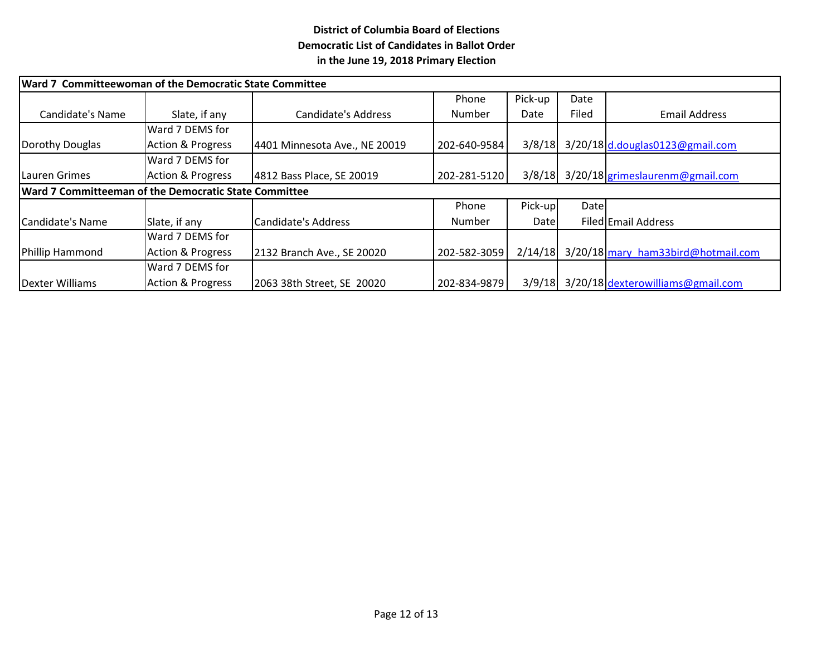| Ward 7 Committeewoman of the Democratic State Committee |                              |                               |               |         |       |                                          |  |  |
|---------------------------------------------------------|------------------------------|-------------------------------|---------------|---------|-------|------------------------------------------|--|--|
|                                                         |                              |                               | Phone         | Pick-up | Date  |                                          |  |  |
| Candidate's Name                                        | Slate, if any                | Candidate's Address           | Number        | Date    | Filed | <b>Email Address</b>                     |  |  |
|                                                         | Ward 7 DEMS for              |                               |               |         |       |                                          |  |  |
| Dorothy Douglas                                         | <b>Action &amp; Progress</b> | 4401 Minnesota Ave., NE 20019 | 202-640-9584  |         |       | 3/8/18 3/20/18 d.douglas0123@gmail.com   |  |  |
|                                                         | Ward 7 DEMS for              |                               |               |         |       |                                          |  |  |
| Lauren Grimes                                           | <b>Action &amp; Progress</b> | 4812 Bass Place, SE 20019     | 202-281-5120  |         |       | 3/8/18 3/20/18 grimes laurenm@gmail.com  |  |  |
| Ward 7 Committeeman of the Democratic State Committee   |                              |                               |               |         |       |                                          |  |  |
|                                                         |                              |                               | Phone         | Pick-up | Datel |                                          |  |  |
| Candidate's Name                                        | Slate, if any                | Candidate's Address           | <b>Number</b> | Date    |       | Filed Email Address                      |  |  |
|                                                         | Ward 7 DEMS for              |                               |               |         |       |                                          |  |  |
| Phillip Hammond                                         | <b>Action &amp; Progress</b> | 2132 Branch Ave., SE 20020    | 202-582-3059  | 2/14/18 |       | 3/20/18 mary ham33bird@hotmail.com       |  |  |
|                                                         | Ward 7 DEMS for              |                               |               |         |       |                                          |  |  |
| Dexter Williams                                         | <b>Action &amp; Progress</b> | 2063 38th Street, SE 20020    | 202-834-9879  |         |       | 3/9/18 3/20/18 dexterowilliams@gmail.com |  |  |